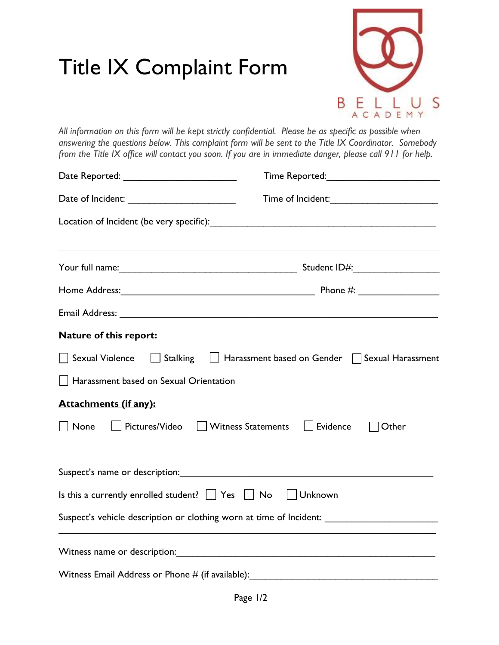## Title IX Complaint Form



*All information on this form will be kept strictly confidential. Please be as specific as possible when answering the questions below. This complaint form will be sent to the Title IX Coordinator. Somebody from the Title IX office will contact you soon. If you are in immediate danger, please call 911 for help.*

|                                                                                                     | ,我们也不会有什么。""我们的人,我们也不会有什么?""我们的人,我们也不会有什么?""我们的人,我们也不会有什么?""我们的人,我们也不会有什么?""我们的人  |
|-----------------------------------------------------------------------------------------------------|-----------------------------------------------------------------------------------|
|                                                                                                     |                                                                                   |
|                                                                                                     |                                                                                   |
|                                                                                                     |                                                                                   |
| <b>Nature of this report:</b>                                                                       |                                                                                   |
|                                                                                                     | Sexual Violence Stalking Light Harassment based on Gender Sexual Harassment       |
| Harassment based on Sexual Orientation                                                              |                                                                                   |
| <b>Attachments (if any):</b>                                                                        |                                                                                   |
| None                                                                                                | Pictures/Video   Witness Statements   Evidence<br>Other                           |
|                                                                                                     |                                                                                   |
| Is this a currently enrolled student? $\Box$ Yes $\Box$ No $\Box$ Unknown                           |                                                                                   |
| Suspect's vehicle description or clothing worn at time of Incident: _______________________________ |                                                                                   |
|                                                                                                     |                                                                                   |
|                                                                                                     | Witness Email Address or Phone # (if available): ________________________________ |